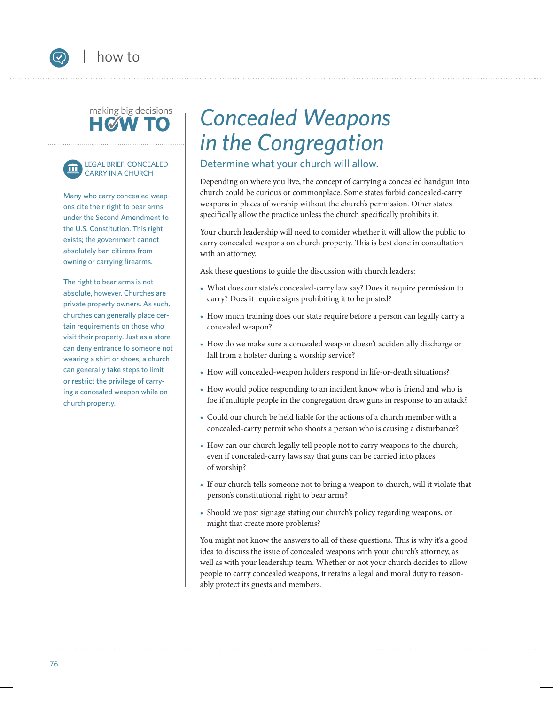## making big decisions **HOW**





Many who carry concealed weapons cite their right to bear arms under the Second Amendment to the U.S. Constitution. This right exists; the government cannot absolutely ban citizens from owning or carrying firearms.

The right to bear arms is not absolute, however. Churches are private property owners. As such, churches can generally place certain requirements on those who visit their property. Just as a store can deny entrance to someone not wearing a shirt or shoes, a church can generally take steps to limit or restrict the privilege of carrying a concealed weapon while on church property.

## *Concealed Weapons in the Congregation*

#### Determine what your church will allow.

Depending on where you live, the concept of carrying a concealed handgun into church could be curious or commonplace. Some states forbid concealed-carry weapons in places of worship without the church's permission. Other states specifically allow the practice unless the church specifically prohibits it.

Your church leadership will need to consider whether it will allow the public to carry concealed weapons on church property. This is best done in consultation with an attorney.

Ask these questions to guide the discussion with church leaders:

- What does our state's concealed-carry law say? Does it require permission to carry? Does it require signs prohibiting it to be posted?
- How much training does our state require before a person can legally carry a concealed weapon?
- How do we make sure a concealed weapon doesn't accidentally discharge or fall from a holster during a worship service?
- How will concealed-weapon holders respond in life-or-death situations?
- How would police responding to an incident know who is friend and who is foe if multiple people in the congregation draw guns in response to an attack?
- Could our church be held liable for the actions of a church member with a concealed-carry permit who shoots a person who is causing a disturbance?
- How can our church legally tell people not to carry weapons to the church, even if concealed-carry laws say that guns can be carried into places of worship?
- If our church tells someone not to bring a weapon to church, will it violate that person's constitutional right to bear arms?
- Should we post signage stating our church's policy regarding weapons, or might that create more problems?

You might not know the answers to all of these questions. This is why it's a good idea to discuss the issue of concealed weapons with your church's attorney, as well as with your leadership team. Whether or not your church decides to allow people to carry concealed weapons, it retains a legal and moral duty to reasonably protect its guests and members.